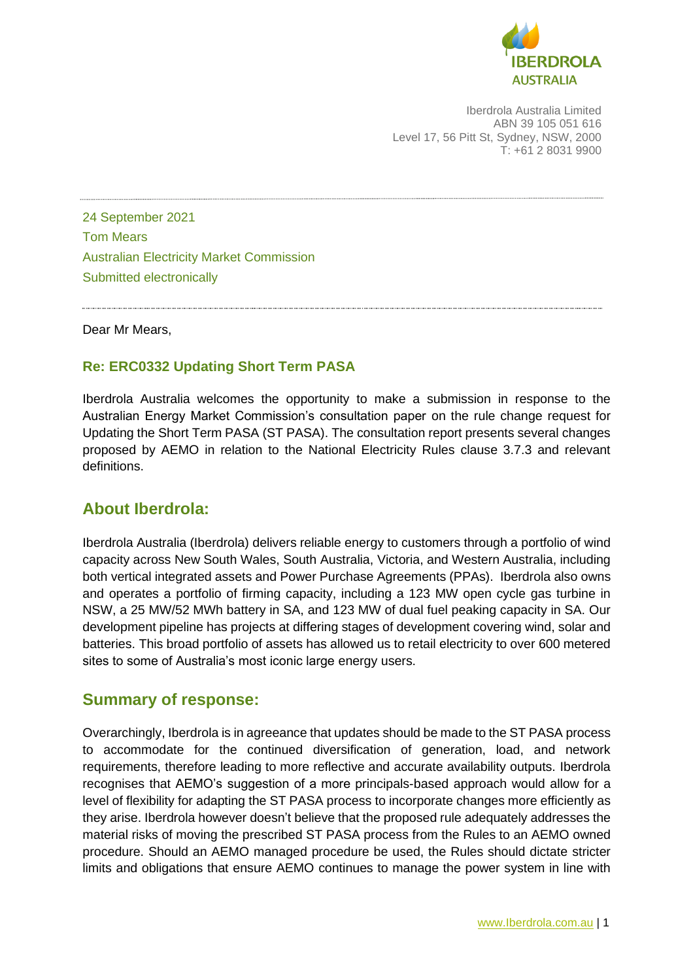

Iberdrola Australia Limited ABN 39 105 051 616 Level 17, 56 Pitt St, Sydney, NSW, 2000 T: +61 2 8031 9900

24 September 2021 Tom Mears Australian Electricity Market Commission Submitted electronically

Dear Mr Mears,

#### **Re: ERC0332 Updating Short Term PASA**

Iberdrola Australia welcomes the opportunity to make a submission in response to the Australian Energy Market Commission's consultation paper on the rule change request for Updating the Short Term PASA (ST PASA). The consultation report presents several changes proposed by AEMO in relation to the National Electricity Rules clause 3.7.3 and relevant definitions.

#### **About Iberdrola:**

Iberdrola Australia (Iberdrola) delivers reliable energy to customers through a portfolio of wind capacity across New South Wales, South Australia, Victoria, and Western Australia, including both vertical integrated assets and Power Purchase Agreements (PPAs). Iberdrola also owns and operates a portfolio of firming capacity, including a 123 MW open cycle gas turbine in NSW, a 25 MW/52 MWh battery in SA, and 123 MW of dual fuel peaking capacity in SA. Our development pipeline has projects at differing stages of development covering wind, solar and batteries. This broad portfolio of assets has allowed us to retail electricity to over 600 metered sites to some of Australia's most iconic large energy users.

#### **Summary of response:**

Overarchingly, Iberdrola is in agreeance that updates should be made to the ST PASA process to accommodate for the continued diversification of generation, load, and network requirements, therefore leading to more reflective and accurate availability outputs. Iberdrola recognises that AEMO's suggestion of a more principals-based approach would allow for a level of flexibility for adapting the ST PASA process to incorporate changes more efficiently as they arise. Iberdrola however doesn't believe that the proposed rule adequately addresses the material risks of moving the prescribed ST PASA process from the Rules to an AEMO owned procedure. Should an AEMO managed procedure be used, the Rules should dictate stricter limits and obligations that ensure AEMO continues to manage the power system in line with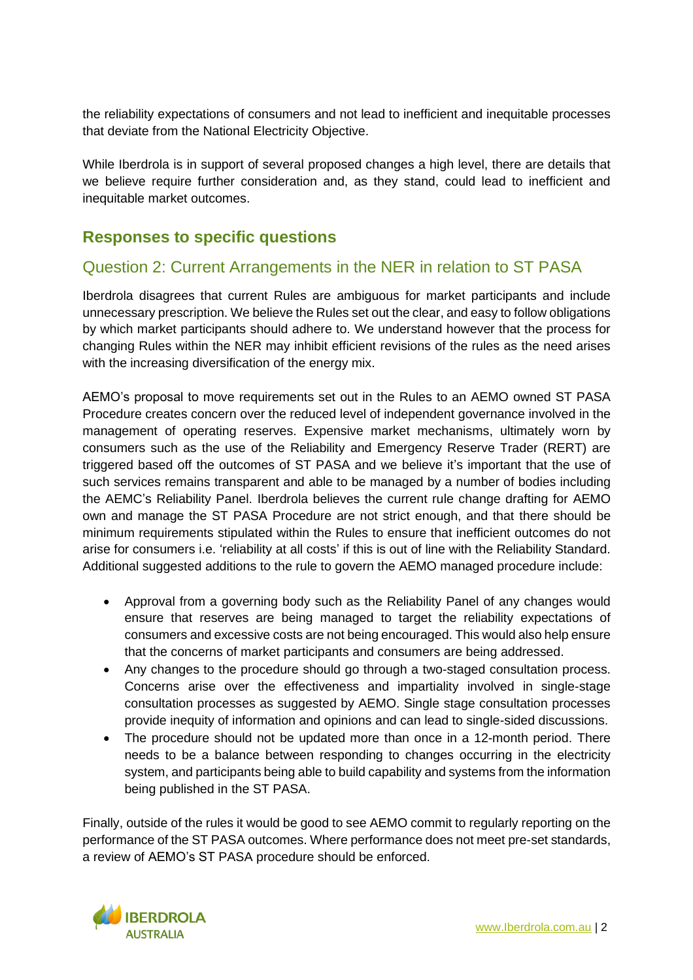the reliability expectations of consumers and not lead to inefficient and inequitable processes that deviate from the National Electricity Objective.

While Iberdrola is in support of several proposed changes a high level, there are details that we believe require further consideration and, as they stand, could lead to inefficient and inequitable market outcomes.

### **Responses to specific questions**

### Question 2: Current Arrangements in the NER in relation to ST PASA

Iberdrola disagrees that current Rules are ambiguous for market participants and include unnecessary prescription. We believe the Rules set out the clear, and easy to follow obligations by which market participants should adhere to. We understand however that the process for changing Rules within the NER may inhibit efficient revisions of the rules as the need arises with the increasing diversification of the energy mix.

AEMO's proposal to move requirements set out in the Rules to an AEMO owned ST PASA Procedure creates concern over the reduced level of independent governance involved in the management of operating reserves. Expensive market mechanisms, ultimately worn by consumers such as the use of the Reliability and Emergency Reserve Trader (RERT) are triggered based off the outcomes of ST PASA and we believe it's important that the use of such services remains transparent and able to be managed by a number of bodies including the AEMC's Reliability Panel. Iberdrola believes the current rule change drafting for AEMO own and manage the ST PASA Procedure are not strict enough, and that there should be minimum requirements stipulated within the Rules to ensure that inefficient outcomes do not arise for consumers i.e. 'reliability at all costs' if this is out of line with the Reliability Standard. Additional suggested additions to the rule to govern the AEMO managed procedure include:

- Approval from a governing body such as the Reliability Panel of any changes would ensure that reserves are being managed to target the reliability expectations of consumers and excessive costs are not being encouraged. This would also help ensure that the concerns of market participants and consumers are being addressed.
- Any changes to the procedure should go through a two-staged consultation process. Concerns arise over the effectiveness and impartiality involved in single-stage consultation processes as suggested by AEMO. Single stage consultation processes provide inequity of information and opinions and can lead to single-sided discussions.
- The procedure should not be updated more than once in a 12-month period. There needs to be a balance between responding to changes occurring in the electricity system, and participants being able to build capability and systems from the information being published in the ST PASA.

Finally, outside of the rules it would be good to see AEMO commit to regularly reporting on the performance of the ST PASA outcomes. Where performance does not meet pre-set standards, a review of AEMO's ST PASA procedure should be enforced.

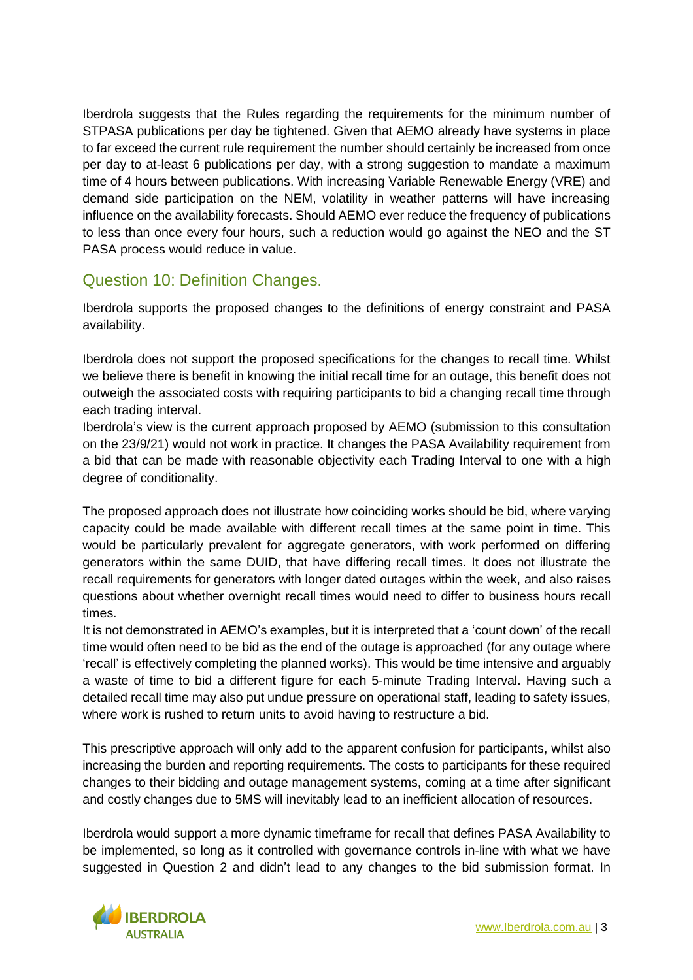Iberdrola suggests that the Rules regarding the requirements for the minimum number of STPASA publications per day be tightened. Given that AEMO already have systems in place to far exceed the current rule requirement the number should certainly be increased from once per day to at-least 6 publications per day, with a strong suggestion to mandate a maximum time of 4 hours between publications. With increasing Variable Renewable Energy (VRE) and demand side participation on the NEM, volatility in weather patterns will have increasing influence on the availability forecasts. Should AEMO ever reduce the frequency of publications to less than once every four hours, such a reduction would go against the NEO and the ST PASA process would reduce in value.

### Question 10: Definition Changes.

Iberdrola supports the proposed changes to the definitions of energy constraint and PASA availability.

Iberdrola does not support the proposed specifications for the changes to recall time. Whilst we believe there is benefit in knowing the initial recall time for an outage, this benefit does not outweigh the associated costs with requiring participants to bid a changing recall time through each trading interval.

Iberdrola's view is the current approach proposed by AEMO (submission to this consultation on the 23/9/21) would not work in practice. It changes the PASA Availability requirement from a bid that can be made with reasonable objectivity each Trading Interval to one with a high degree of conditionality.

The proposed approach does not illustrate how coinciding works should be bid, where varying capacity could be made available with different recall times at the same point in time. This would be particularly prevalent for aggregate generators, with work performed on differing generators within the same DUID, that have differing recall times. It does not illustrate the recall requirements for generators with longer dated outages within the week, and also raises questions about whether overnight recall times would need to differ to business hours recall times.

It is not demonstrated in AEMO's examples, but it is interpreted that a 'count down' of the recall time would often need to be bid as the end of the outage is approached (for any outage where 'recall' is effectively completing the planned works). This would be time intensive and arguably a waste of time to bid a different figure for each 5-minute Trading Interval. Having such a detailed recall time may also put undue pressure on operational staff, leading to safety issues, where work is rushed to return units to avoid having to restructure a bid.

This prescriptive approach will only add to the apparent confusion for participants, whilst also increasing the burden and reporting requirements. The costs to participants for these required changes to their bidding and outage management systems, coming at a time after significant and costly changes due to 5MS will inevitably lead to an inefficient allocation of resources.

Iberdrola would support a more dynamic timeframe for recall that defines PASA Availability to be implemented, so long as it controlled with governance controls in-line with what we have suggested in Question 2 and didn't lead to any changes to the bid submission format. In